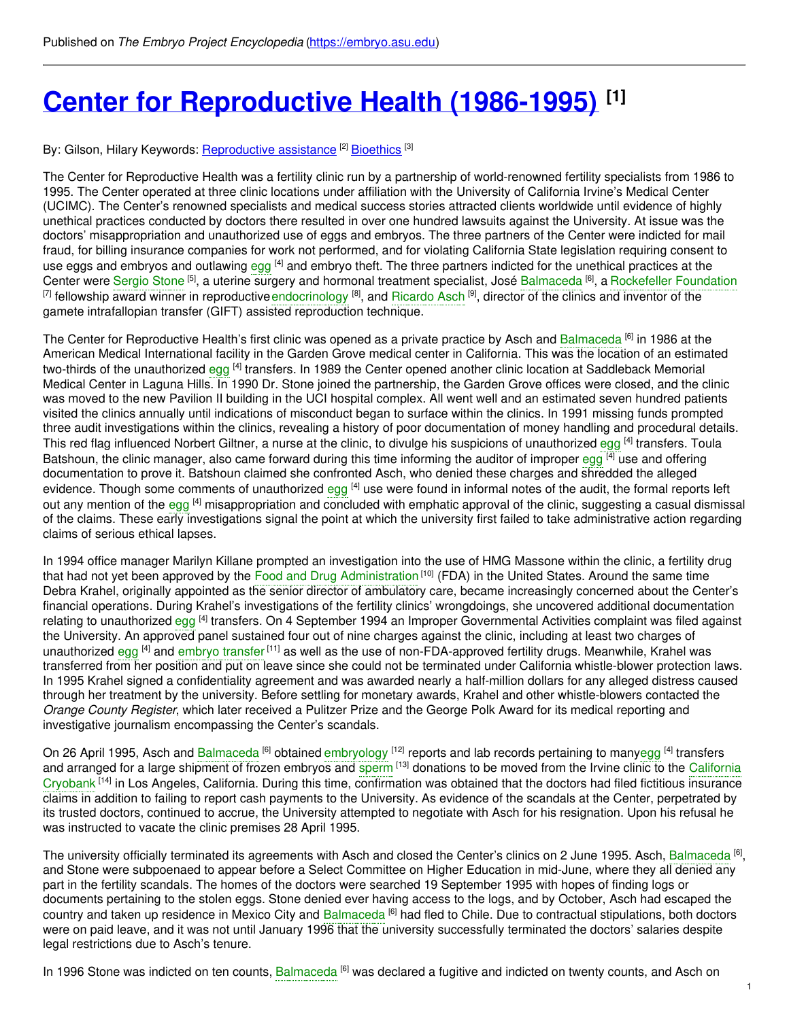## **Center for [Reproductive](https://embryo.asu.edu/pages/center-reproductive-health-1986-1995) Health (1986-1995) [1]**

## By: Gilson, Hilary Keywords: <u>[Reproductive](https://embryo.asu.edu/keywords/reproductive-assistance) assistance</u> [2] [Bioethics](https://embryo.asu.edu/keywords/bioethics) [3]

The Center for Reproductive Health was a fertility clinic run by a partnership of world-renowned fertility specialists from 1986 to 1995. The Center operated at three clinic locations under affiliation with the University of California Irvine's Medical Center (UCIMC). The Center's renowned specialists and medical success stories attracted clients worldwide until evidence of highly unethical practices conducted by doctors there resulted in over one hundred lawsuits against the University. At issue was the doctors' misappropriation and unauthorized use of eggs and embryos. The three partners of the Center were indicted for mail fraud, for billing insurance companies for work not performed, and for violating California State legislation requiring consent to use [egg](https://embryo.asu.edu/search?text=egg)s and embryos and outlawing egg <sup>[4]</sup> and embryo theft. The three partners indicted for the unethical practices at the Center were [Sergio](https://embryo.asu.edu/search?text=Sergio%20Stone) Stone <sup>[5]</sup>, a uterine surgery and hormonal treatment specialist, José [Balmaceda](https://embryo.asu.edu/search?text=Balmaceda) <sup>[6]</sup>, a [Rockefeller](https://embryo.asu.edu/search?text=Rockefeller%20Foundation) Foundation <sup>[7]</sup> fellowship award winner in reproductive [endocrinology](https://embryo.asu.edu/search?text=endocrinology) <sup>[8]</sup>, and [Ricardo](https://embryo.asu.edu/search?text=Ricardo%20Asch) Asch <sup>[9]</sup>, director of the clinics and inventor of the gamete intrafallopian transfer (GIFT) assisted reproduction technique.

The Center for Reproductive Health's first clinic was opened as a private practice by Asch and [Balmaceda](https://embryo.asu.edu/search?text=Balmaceda) <sup>[6]</sup> in 1986 at the American Medical International facility in the Garden Grove medical center in California. This was the location of an estimated two-thirds of the unauthorized [egg](https://embryo.asu.edu/search?text=egg) <sup>[4]</sup> transfers. In 1989 the Center opened another clinic location at Saddleback Memorial Medical Center in Laguna Hills. In 1990 Dr. Stone joined the partnership, the Garden Grove offices were closed, and the clinic was moved to the new Pavilion II building in the UCI hospital complex. All went well and an estimated seven hundred patients visited the clinics annually until indications of misconduct began to surface within the clinics. In 1991 missing funds prompted three audit investigations within the clinics, revealing a history of poor documentation of money handling and procedural details. This red flag influenced Norbert Giltner, a nurse at the clinic, to divulge his suspicions of unauthorized [egg](https://embryo.asu.edu/search?text=egg) <sup>[4]</sup> transfers. Toula Batshoun, the clinic manager, also came forward during this time informing the auditor of improper [egg](https://embryo.asu.edu/search?text=egg) [4] use and offering documentation to prove it. Batshoun claimed she confronted Asch, who denied these charges and shredded the alleged evidence. Though some comments of unauthorized [egg](https://embryo.asu.edu/search?text=egg) <sup>[4]</sup> use were found in informal notes of the audit, the formal reports left out any mention of the [egg](https://embryo.asu.edu/search?text=egg) <sup>[4]</sup> misappropriation and concluded with emphatic approval of the clinic, suggesting a casual dismissal of the claims. These early investigations signal the point at which the university first failed to take administrative action regarding claims of serious ethical lapses.

In 1994 office manager Marilyn Killane prompted an investigation into the use of HMG Massone within the clinic, a fertility drug that had not yet been approved by the Food and Drug [Administration](https://embryo.asu.edu/search?text=Food%20and%20Drug%20Administration) <sup>[10]</sup> (FDA) in the United States. Around the same time Debra Krahel, originally appointed as the senior director of ambulatory care, became increasingly concerned about the Center's financial operations. During Krahel's investigations of the fertility clinics' wrongdoings, she uncovered additional documentation relating to unauthorized [egg](https://embryo.asu.edu/search?text=egg) <sup>[4]</sup> transfers. On 4 September 1994 an Improper Governmental Activities complaint was filed against the University. An approved panel sustained four out of nine charges against the clinic, including at least two charges of unauthorized [egg](https://embryo.asu.edu/search?text=egg) <sup>[4]</sup> and [embryo](https://embryo.asu.edu/search?text=embryo%20transfer) transfer<sup>[11]</sup> as well as the use of non-FDA-approved fertility drugs. Meanwhile, Krahel was transferred from her position and put on leave since she could not be terminated under California whistle-blower protection laws. In 1995 Krahel signed a confidentiality agreement and was awarded nearly a half-million dollars for any alleged distress caused through her treatment by the university. Before settling for monetary awards, Krahel and other whistle-blowers contacted the *Orange County Register*, which later received a Pulitzer Prize and the George Polk Award for its medical reporting and investigative journalism encompassing the Center's scandals.

On 26 April 1995, Asch and [Balmaceda](https://embryo.asu.edu/search?text=Balmaceda) <sup>[6]</sup> obtained [embryology](https://embryo.asu.edu/search?text=embryology) <sup>[12]</sup> reports and lab records pertaining to man[yegg](https://embryo.asu.edu/search?text=egg) <sup>[4]</sup> transfers and arranged for a large shipment of frozen embryos and [sperm](https://embryo.asu.edu/search?text=sperm) [13] donations to be moved from the Irvine clinic to the California Cryobank <sup>[14]</sup> in Los Angeles, California. During this time, [confirmation](https://embryo.asu.edu/search?text=California%20Cryobank) was obtained that the doctors had filed fictitious insurance claims in addition to failing to report cash payments to the University. As evidence of the scandals at the Center, perpetrated by its trusted doctors, continued to accrue, the University attempted to negotiate with Asch for his resignation. Upon his refusal he was instructed to vacate the clinic premises 28 April 1995.

The university officially terminated its agreements with Asch and closed the Center's clinics on 2 June 1995. Asch, <mark>[Balmaceda](https://embryo.asu.edu/search?text=Balmaceda) <sup>[6]</sup>,</mark> and Stone were subpoenaed to appear before a Select Committee on Higher Education in mid-June, where they all denied any part in the fertility scandals. The homes of the doctors were searched 19 September 1995 with hopes of finding logs or documents pertaining to the stolen eggs. Stone denied ever having access to the logs, and by October, Asch had escaped the country and taken up residence in Mexico City and [Balmaceda](https://embryo.asu.edu/search?text=Balmaceda) [6] had fled to Chile. Due to contractual stipulations, both doctors were on paid leave, and it was not until January 1996 that the university successfully terminated the doctors' salaries despite legal restrictions due to Asch's tenure.

In 1996 Stone was indicted on ten counts, [Balmaceda](https://embryo.asu.edu/search?text=Balmaceda) <sup>[6]</sup> was declared a fugitive and indicted on twenty counts, and Asch on